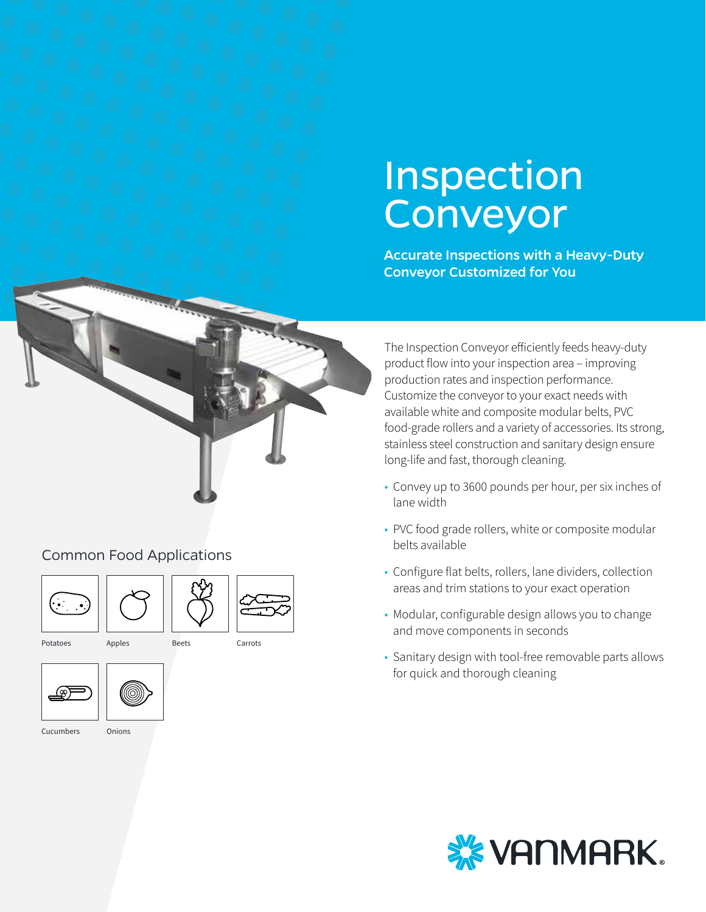# Inspection Conveyor

Accurate Inspections with a Heavy-Duty Conveyor Customized for You



## Common Food Applications







Carrots

Potatoes

<u>(ස</u>



Cucumbers

**Onions** 

The Inspection Conveyor efficiently feeds heavy-duty product flow into your inspection area – improving production rates and inspection performance. Customize the conveyor to your exact needs with available white and composite modular belts, PVC food-grade rollers and a variety of accessories. Its strong, stainless steel construction and sanitary design ensure long-life and fast, thorough cleaning.

- Convey up to 3600 pounds per hour, per six inches of lane width
- PVC food grade rollers, white or composite modular belts available
- Configure flat belts, rollers, lane dividers, collection areas and trim stations to your exact operation
- Modular, configurable design allows you to change and move components in seconds
- Sanitary design with tool-free removable parts allows for quick and thorough cleaning